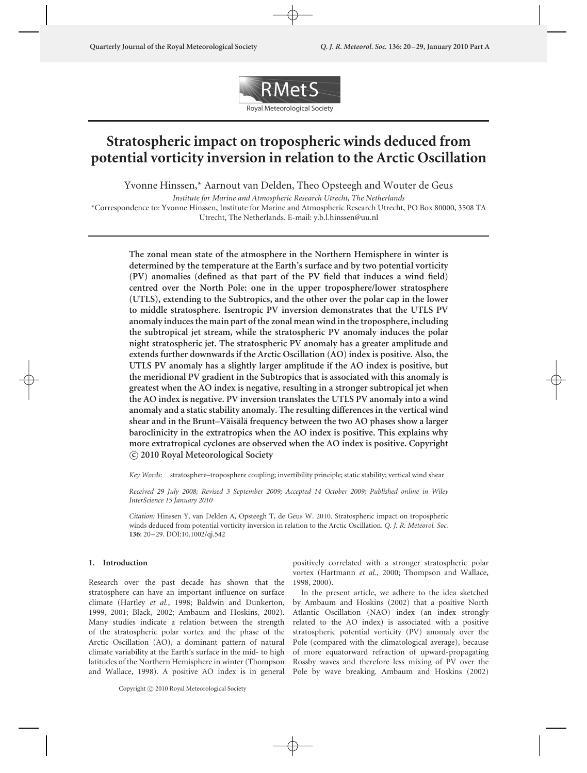

# **Stratospheric impact on tropospheric winds deduced from potential vorticity inversion in relation to the Arctic Oscillation**

Yvonne Hinssen,\* Aarnout van Delden, Theo Opsteegh and Wouter de Geus

*Institute for Marine and Atmospheric Research Utrecht, The Netherlands*

\*Correspondence to: Yvonne Hinssen, Institute for Marine and Atmospheric Research Utrecht, PO Box 80000, 3508 TA Utrecht, The Netherlands. E-mail: y.b.l.hinssen@uu.nl

**The zonal mean state of the atmosphere in the Northern Hemisphere in winter is determined by the temperature at the Earth's surface and by two potential vorticity (PV) anomalies (defined as that part of the PV field that induces a wind field) centred over the North Pole: one in the upper troposphere/lower stratosphere (UTLS), extending to the Subtropics, and the other over the polar cap in the lower to middle stratosphere. Isentropic PV inversion demonstrates that the UTLS PV anomaly induces the main part of the zonal mean wind in the troposphere, including the subtropical jet stream, while the stratospheric PV anomaly induces the polar night stratospheric jet. The stratospheric PV anomaly has a greater amplitude and extends further downwards if the Arctic Oscillation (AO) index is positive. Also, the UTLS PV anomaly has a slightly larger amplitude if the AO index is positive, but the meridional PV gradient in the Subtropics that is associated with this anomaly is greatest when the AO index is negative, resulting in a stronger subtropical jet when the AO index is negative. PV inversion translates the UTLS PV anomaly into a wind anomaly and a static stability anomaly. The resulting differences in the vertical wind shear and in the Brunt–Väisälä frequency between the two AO phases show a larger baroclinicity in the extratropics when the AO index is positive. This explains why more extratropical cyclones are observed when the AO index is positive. Copyright c 2010 Royal Meteorological Society**

*Key Words:* stratosphere–troposphere coupling; invertibility principle; static stability; vertical wind shear

*Received 29 July 2008; Revised 3 September 2009; Accepted 14 October 2009; Published online in Wiley InterScience 15 January 2010*

*Citation:* Hinssen Y, van Delden A, Opsteegh T, de Geus W. 2010. Stratospheric impact on tropospheric winds deduced from potential vorticity inversion in relation to the Arctic Oscillation. *Q. J. R. Meteorol. Soc.* **136**: 20–29. DOI:10.1002/qj.542

# **1. Introduction**

Research over the past decade has shown that the stratosphere can have an important influence on surface climate (Hartley *et al.*, 1998; Baldwin and Dunkerton, 1999, 2001; Black, 2002; Ambaum and Hoskins, 2002). Many studies indicate a relation between the strength of the stratospheric polar vortex and the phase of the Arctic Oscillation (AO), a dominant pattern of natural climate variability at the Earth's surface in the mid- to high latitudes of the Northern Hemisphere in winter (Thompson and Wallace, 1998). A positive AO index is in general

positively correlated with a stronger stratospheric polar vortex (Hartmann *et al.*, 2000; Thompson and Wallace, 1998, 2000).

In the present article, we adhere to the idea sketched by Ambaum and Hoskins (2002) that a positive North Atlantic Oscillation (NAO) index (an index strongly related to the AO index) is associated with a positive stratospheric potential vorticity (PV) anomaly over the Pole (compared with the climatological average), because of more equatorward refraction of upward-propagating Rossby waves and therefore less mixing of PV over the Pole by wave breaking. Ambaum and Hoskins (2002)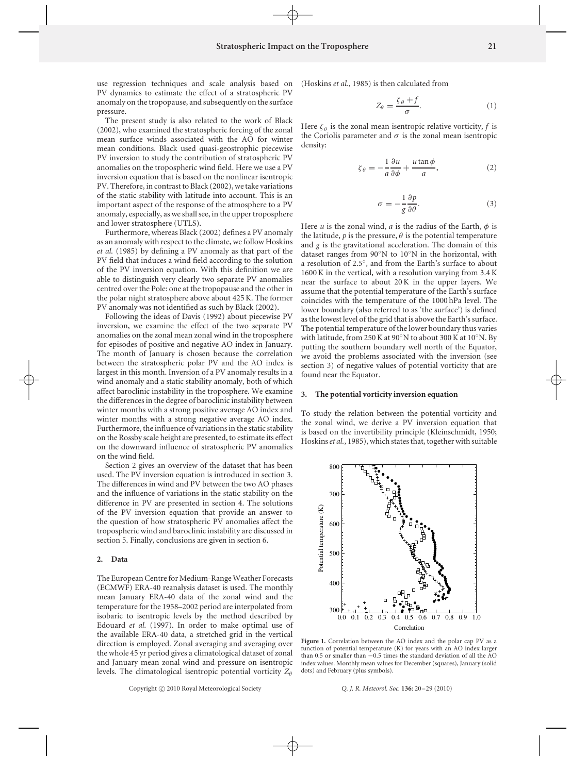use regression techniques and scale analysis based on PV dynamics to estimate the effect of a stratospheric PV anomaly on the tropopause, and subsequently on the surface pressure.

The present study is also related to the work of Black (2002), who examined the stratospheric forcing of the zonal mean surface winds associated with the AO for winter mean conditions. Black used quasi-geostrophic piecewise PV inversion to study the contribution of stratospheric PV anomalies on the tropospheric wind field. Here we use a PV inversion equation that is based on the nonlinear isentropic PV. Therefore, in contrast to Black (2002), we take variations of the static stability with latitude into account. This is an important aspect of the response of the atmosphere to a PV anomaly, especially, as we shall see, in the upper troposphere and lower stratosphere (UTLS).

Furthermore, whereas Black (2002) defines a PV anomaly as an anomaly with respect to the climate, we follow Hoskins *et al.* (1985) by defining a PV anomaly as that part of the PV field that induces a wind field according to the solution of the PV inversion equation. With this definition we are able to distinguish very clearly two separate PV anomalies centred over the Pole: one at the tropopause and the other in the polar night stratosphere above about 425 K. The former PV anomaly was not identified as such by Black (2002).

Following the ideas of Davis (1992) about piecewise PV inversion, we examine the effect of the two separate PV anomalies on the zonal mean zonal wind in the troposphere for episodes of positive and negative AO index in January. The month of January is chosen because the correlation between the stratospheric polar PV and the AO index is largest in this month. Inversion of a PV anomaly results in a wind anomaly and a static stability anomaly, both of which affect baroclinic instability in the troposphere. We examine the differences in the degree of baroclinic instability between winter months with a strong positive average AO index and winter months with a strong negative average AO index. Furthermore, the influence of variations in the static stability on the Rossby scale height are presented, to estimate its effect on the downward influence of stratospheric PV anomalies on the wind field.

Section 2 gives an overview of the dataset that has been used. The PV inversion equation is introduced in section 3. The differences in wind and PV between the two AO phases and the influence of variations in the static stability on the difference in PV are presented in section 4. The solutions of the PV inversion equation that provide an answer to the question of how stratospheric PV anomalies affect the tropospheric wind and baroclinic instability are discussed in section 5. Finally, conclusions are given in section 6.

## **2. Data**

The European Centre for Medium-Range Weather Forecasts (ECMWF) ERA-40 reanalysis dataset is used. The monthly mean January ERA-40 data of the zonal wind and the temperature for the 1958–2002 period are interpolated from isobaric to isentropic levels by the method described by Edouard *et al.* (1997). In order to make optimal use of the available ERA-40 data, a stretched grid in the vertical direction is employed. Zonal averaging and averaging over the whole 45 yr period gives a climatological dataset of zonal and January mean zonal wind and pressure on isentropic levels. The climatological isentropic potential vorticity *Z<sup>θ</sup>*

(Hoskins *et al.*, 1985) is then calculated from

$$
Z_{\theta} = \frac{\zeta_{\theta} + f}{\sigma}.
$$
 (1)

Here  $\zeta_{\theta}$  is the zonal mean isentropic relative vorticity, *f* is the Coriolis parameter and  $\sigma$  is the zonal mean isentropic density:

$$
\zeta_{\theta} = -\frac{1}{a} \frac{\partial u}{\partial \phi} + \frac{u \tan \phi}{a},\tag{2}
$$

$$
\sigma = -\frac{1}{g} \frac{\partial p}{\partial \theta}.
$$
 (3)

Here *u* is the zonal wind, *a* is the radius of the Earth,  $\phi$  is the latitude,  $p$  is the pressure,  $\theta$  is the potential temperature and *g* is the gravitational acceleration. The domain of this dataset ranges from 90◦N to 10◦N in the horizontal, with a resolution of 2.5◦, and from the Earth's surface to about 1600 K in the vertical, with a resolution varying from 3.4 K near the surface to about 20 K in the upper layers. We assume that the potential temperature of the Earth's surface coincides with the temperature of the 1000 hPa level. The lower boundary (also referred to as 'the surface') is defined as the lowest level of the grid that is above the Earth's surface. The potential temperature of the lower boundary thus varies with latitude, from 250 K at  $90^{\circ}$ N to about 300 K at  $10^{\circ}$ N. By putting the southern boundary well north of the Equator, we avoid the problems associated with the inversion (see section 3) of negative values of potential vorticity that are found near the Equator.

#### **3. The potential vorticity inversion equation**

To study the relation between the potential vorticity and the zonal wind, we derive a PV inversion equation that is based on the invertibility principle (Kleinschmidt, 1950; Hoskins*et al.*, 1985), which states that, together with suitable

700 Potential temperature (K) Potential temperature (K) 600 500 400 300 0.0 0.1 0.2 0.3 0.4 0.5 0.6 0.7 0.8 0.9 1.0 Correlation

Figure 1. Correlation between the AO index and the polar cap PV as a function of potential temperature (K) for years with an AO index larger than 0.5 or smaller than −0*.*5 times the standard deviation of all the AO index values. Monthly mean values for December (squares), January (solid dots) and February (plus symbols).

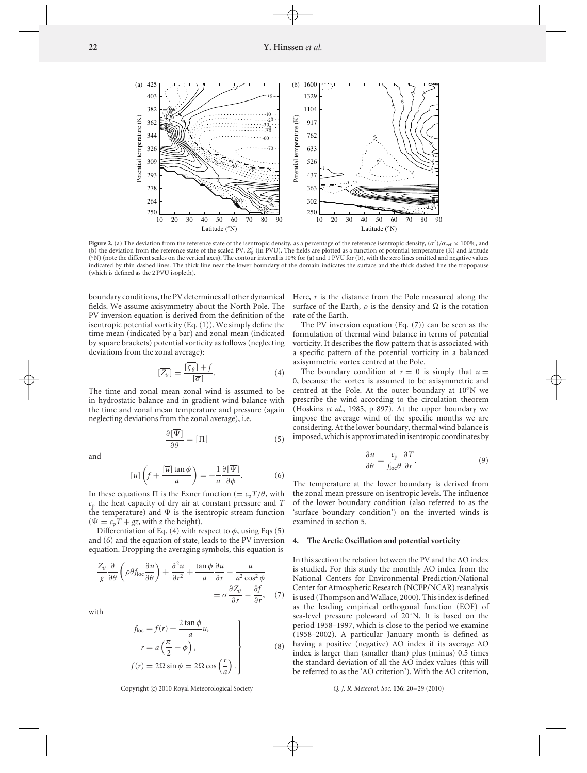(a) 425 (b) 1600 20 403 93 A, 1329 10 ن. 382 1104 بر  $\Re$ -30-20 -10 -10 Potential temperature (K) Potential temperature (K) 11) 20 Potential temperature (K) Potential temperature (K) 362 30 -20 917 40 50 -30 60 -50-40 **908** -50 344 वें 762 15 -60 -1 7  $\sigma$ 326 633 10 -70  $\%$ 5  $\langle o$ 309 526 -20 بر 4 -30 3 -40 -50 2 1 1 -1 293 437 -1278 363 60 264 302 -20 )!0 50 ă 6 5 4 3  $\mathscr{F}$ -4 40 2  $\mathscr{B}$  $1$   $1$ 30 -1 <u>ত</u> 20 2 -2 $250 \perp 10$  $250 \sum_{10}$ 2 10 20 30 40 50 60 70 80 90 10 20 30 40 50 60 70 80 90 Latitude (°N) Latitude (°N)

**Figure 2.** (a) The deviation from the reference state of the isentropic density, as a percentage of the reference isentropic density, (*σ'*)/σ<sub>ref</sub> × 100%, and (b) the deviation from the reference state of the scaled PV, *Z*<sub>0</sub> (in PVU). The fields are plotted as a function of potential temperature (K) and latitude (◦N) (note the different scales on the vertical axes). The contour interval is 10% for (a) and 1 PVU for (b), with the zero lines omitted and negative values indicated by thin dashed lines. The thick line near the lower boundary of the domain indicates the surface and the thick dashed line the tropopause (which is defined as the 2 PVU isopleth).

boundary conditions, the PV determines all other dynamical fields. We assume axisymmetry about the North Pole. The PV inversion equation is derived from the definition of the isentropic potential vorticity (Eq. (1)). We simply define the time mean (indicated by a bar) and zonal mean (indicated by square brackets) potential vorticity as follows (neglecting deviations from the zonal average):

$$
[\overline{Z_{\theta}}] = \frac{[\overline{\zeta_{\theta}}] + f}{[\overline{\sigma}]}.
$$
 (4)

The time and zonal mean zonal wind is assumed to be in hydrostatic balance and in gradient wind balance with the time and zonal mean temperature and pressure (again neglecting deviations from the zonal average), i.e.

$$
\frac{\partial[\overline{\Psi}]}{\partial \theta} = [\overline{\Pi}] \tag{5}
$$

and

$$
\left[\overline{u}\right]\left(f + \frac{\left[\overline{u}\right]\tan\phi}{a}\right) = -\frac{1}{a}\frac{\partial\left[\overline{\Psi}\right]}{\partial\phi}.\tag{6}
$$

In these equations Π is the Exner function (=  $c_pT/\theta$ , with *c*<sup>p</sup> the heat capacity of dry air at constant pressure and *T* the temperature) and  $\Psi$  is the isentropic stream function  $(\Psi = c_p T + gz$ , with *z* the height).

Differentiation of Eq. (4) with respect to  $\phi$ , using Eqs (5) and (6) and the equation of state, leads to the PV inversion equation. Dropping the averaging symbols, this equation is

$$
\frac{Z_{\theta}}{g} \frac{\partial}{\partial \theta} \left( \rho \theta f_{\text{loc}} \frac{\partial u}{\partial \theta} \right) + \frac{\partial^2 u}{\partial r^2} + \frac{\tan \phi}{a} \frac{\partial u}{\partial r} - \frac{u}{a^2 \cos^2 \phi} \n= \sigma \frac{\partial Z_{\theta}}{\partial r} - \frac{\partial f}{\partial r}, \quad (7)
$$

with

$$
f_{\text{loc}} = f(r) + \frac{2 \tan \phi}{a} u,
$$
  
\n
$$
r = a \left( \frac{\pi}{2} - \phi \right),
$$
  
\n
$$
f(r) = 2\Omega \sin \phi = 2\Omega \cos \left( \frac{r}{a} \right).
$$
\n(8)

Copyright © 2010 Royal Meteorological Society *Q. J. R. Meteorol. Soc.* **136**: 20-29 (2010)

Here, *r* is the distance from the Pole measured along the surface of the Earth,  $\rho$  is the density and  $\Omega$  is the rotation rate of the Earth.

The PV inversion equation (Eq. (7)) can be seen as the formulation of thermal wind balance in terms of potential vorticity. It describes the flow pattern that is associated with a specific pattern of the potential vorticity in a balanced axisymmetric vortex centred at the Pole.

The boundary condition at  $r = 0$  is simply that  $u =$ 0, because the vortex is assumed to be axisymmetric and centred at the Pole. At the outer boundary at 10◦N we prescribe the wind according to the circulation theorem (Hoskins *et al.*, 1985, p 897). At the upper boundary we impose the average wind of the specific months we are considering. At the lower boundary, thermal wind balance is imposed, which is approximated in isentropic coordinates by

$$
\frac{\partial u}{\partial \theta} = \frac{c_{\rm p}}{f_{\rm loc}\theta} \frac{\partial T}{\partial r}.
$$
 (9)

The temperature at the lower boundary is derived from the zonal mean pressure on isentropic levels. The influence of the lower boundary condition (also referred to as the 'surface boundary condition') on the inverted winds is examined in section 5.

# **4. The Arctic Oscillation and potential vorticity**

In this section the relation between the PV and the AO index is studied. For this study the monthly AO index from the National Centers for Environmental Prediction/National Center for Atmospheric Research (NCEP/NCAR) reanalysis is used (Thompson and Wallace, 2000). This index is defined as the leading empirical orthogonal function (EOF) of sea-level pressure poleward of 20◦N. It is based on the period 1958–1997, which is close to the period we examine (1958–2002). A particular January month is defined as having a positive (negative) AO index if its average AO index is larger than (smaller than) plus (minus) 0.5 times the standard deviation of all the AO index values (this will be referred to as the 'AO criterion'). With the AO criterion,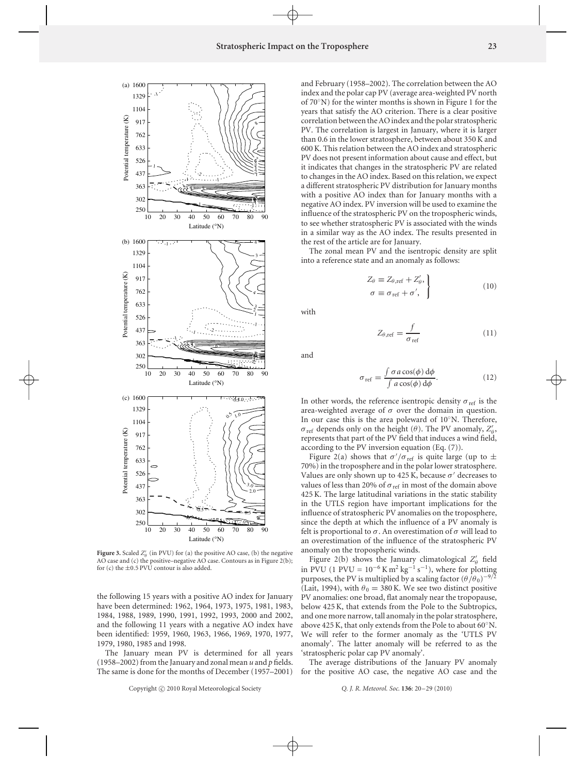

**Figure 3.** Scaled  $Z'_{\theta}$  (in PVU) for (a) the positive AO case, (b) the negative AO case and (c) the positive–negative AO case. Contours as in Figure 2(b); for (c) the ±0*.*5 PVU contour is also added.

the following 15 years with a positive AO index for January have been determined: 1962, 1964, 1973, 1975, 1981, 1983, 1984, 1988, 1989, 1990, 1991, 1992, 1993, 2000 and 2002, and the following 11 years with a negative AO index have been identified: 1959, 1960, 1963, 1966, 1969, 1970, 1977, 1979, 1980, 1985 and 1998.

The January mean PV is determined for all years (1958–2002) from the January and zonal mean *u* and *p* fields. The same is done for the months of December (1957–2001) and February (1958–2002). The correlation between the AO index and the polar cap PV (average area-weighted PV north of 70◦N) for the winter months is shown in Figure 1 for the years that satisfy the AO criterion. There is a clear positive correlation between the AO index and the polar stratospheric PV. The correlation is largest in January, where it is larger than 0.6 in the lower stratosphere, between about 350 K and 600 K. This relation between the AO index and stratospheric PV does not present information about cause and effect, but it indicates that changes in the stratospheric PV are related to changes in the AO index. Based on this relation, we expect a different stratospheric PV distribution for January months with a positive AO index than for January months with a negative AO index. PV inversion will be used to examine the influence of the stratospheric PV on the tropospheric winds, to see whether stratospheric PV is associated with the winds in a similar way as the AO index. The results presented in the rest of the article are for January.

The zonal mean PV and the isentropic density are split into a reference state and an anomaly as follows:

 $Z_{\theta, \text{ref}} = \frac{f}{\sigma_{\text{ref}}}$ 

$$
Z_{\theta} \equiv Z_{\theta,ref} + Z_{\theta}', \n\sigma \equiv \sigma_{ref} + \sigma',
$$
\n(10)

(11)

with

and

$$
\sigma_{\text{ref}} = \frac{\int \sigma a \cos(\phi) \, d\phi}{\int a \cos(\phi) \, d\phi}.
$$
 (12)

In other words, the reference isentropic density  $\sigma_{\text{ref}}$  is the area-weighted average of  $\sigma$  over the domain in question. In our case this is the area poleward of 10◦N. Therefore, *σ*<sub>ref</sub> depends only on the height  $(\theta)$ . The PV anomaly,  $Z'_{\theta}$ , represents that part of the PV field that induces a wind field, according to the PV inversion equation (Eq. (7)).

Figure 2(a) shows that  $\sigma'/\sigma_{\text{ref}}$  is quite large (up to  $\pm$ 70%) in the troposphere and in the polar lower stratosphere. Values are only shown up to 425 K, because *σ'* decreases to values of less than 20% of  $\sigma_{\text{ref}}$  in most of the domain above 425 K. The large latitudinal variations in the static stability in the UTLS region have important implications for the influence of stratospheric PV anomalies on the troposphere, since the depth at which the influence of a PV anomaly is felt is proportional to *σ*. An overestimation of *σ* will lead to an overestimation of the influence of the stratospheric PV anomaly on the tropospheric winds.

Figure 2(b) shows the January climatological  $Z'_\theta$  field in PVU (1 PVU =  $10^{-6}$  K m<sup>2</sup> kg<sup>-1</sup> s<sup>-1</sup>), where for plotting purposes, the PV is multiplied by a scaling factor  $(\theta/\theta_0)^{-9/2}$ (Lait, 1994), with  $\theta_0 = 380$  K. We see two distinct positive PV anomalies: one broad, flat anomaly near the tropopause, below 425 K, that extends from the Pole to the Subtropics, and one more narrow, tall anomaly in the polar stratosphere, above 425 K, that only extends from the Pole to about  $60°$ N. We will refer to the former anomaly as the 'UTLS PV anomaly'. The latter anomaly will be referred to as the 'stratospheric polar cap PV anomaly'.

The average distributions of the January PV anomaly for the positive AO case, the negative AO case and the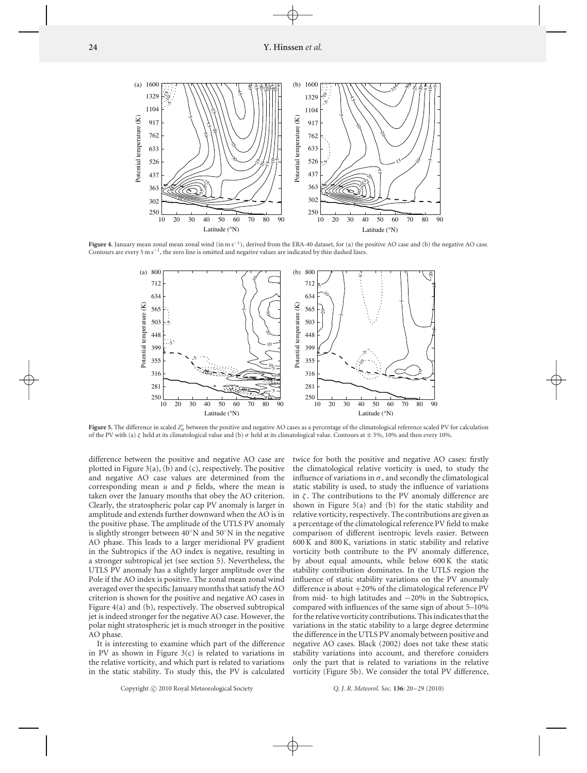

**Figure 4.** January mean zonal mean zonal wind (in m s−1), derived from the ERA-40 dataset, for (a) the positive AO case and (b) the negative AO case. Contours are every 5 m s<sup>−1</sup>, the zero line is omitted and negative values are indicated by thin dashed lines.



**Figure 5.** The difference in scaled  $Z'_\theta$  between the positive and negative AO cases as a percentage of the climatological reference scaled PV for calculation of the PV with (a) *ζ* held at its climatological value and (b) *σ* held at its climatological value. Contours at  $\pm$  5%, 10% and then every 10%.

difference between the positive and negative AO case are plotted in Figure 3(a), (b) and (c), respectively. The positive and negative AO case values are determined from the corresponding mean *u* and *p* fields, where the mean is taken over the January months that obey the AO criterion. Clearly, the stratospheric polar cap PV anomaly is larger in amplitude and extends further downward when the AO is in the positive phase. The amplitude of the UTLS PV anomaly is slightly stronger between 40◦N and 50◦N in the negative AO phase. This leads to a larger meridional PV gradient in the Subtropics if the AO index is negative, resulting in a stronger subtropical jet (see section 5). Nevertheless, the UTLS PV anomaly has a slightly larger amplitude over the Pole if the AO index is positive. The zonal mean zonal wind averaged over the specific January months that satisfy the AO criterion is shown for the positive and negative AO cases in Figure 4(a) and (b), respectively. The observed subtropical jet is indeed stronger for the negative AO case. However, the polar night stratospheric jet is much stronger in the positive AO phase.

It is interesting to examine which part of the difference in PV as shown in Figure  $3(c)$  is related to variations in the relative vorticity, and which part is related to variations in the static stability. To study this, the PV is calculated twice for both the positive and negative AO cases: firstly the climatological relative vorticity is used, to study the influence of variations in  $\sigma$ , and secondly the climatological static stability is used, to study the influence of variations in  $\zeta$ . The contributions to the PV anomaly difference are shown in Figure 5(a) and (b) for the static stability and relative vorticity, respectively. The contributions are given as a percentage of the climatological reference PV field to make comparison of different isentropic levels easier. Between 600 K and 800 K, variations in static stability and relative vorticity both contribute to the PV anomaly difference, by about equal amounts, while below 600 K the static stability contribution dominates. In the UTLS region the influence of static stability variations on the PV anomaly difference is about  $+20\%$  of the climatological reference PV from mid- to high latitudes and −20% in the Subtropics, compared with influences of the same sign of about 5–10% for the relative vorticity contributions. This indicates that the variations in the static stability to a large degree determine the difference in the UTLS PV anomaly between positive and negative AO cases. Black (2002) does not take these static stability variations into account, and therefore considers only the part that is related to variations in the relative vorticity (Figure 5b). We consider the total PV difference,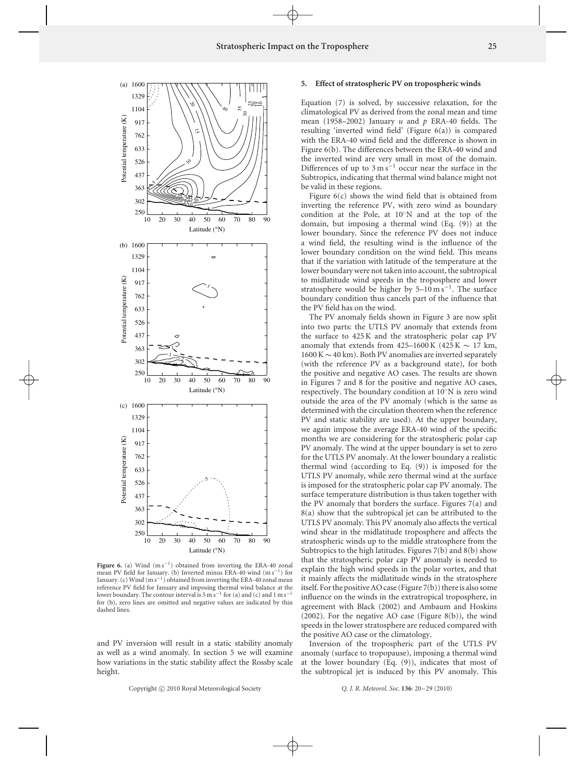

**Figure 6.** (a) Wind (m s−1) obtained from inverting the ERA-40 zonal mean PV field for January. (b) Inverted minus ERA-40 wind (m s−1) for January. (c) Wind  $(m s^{-1})$  obtained from inverting the ERA-40 zonal mean reference PV field for January and imposing thermal wind balance at the lower boundary. The contour interval is 5 m s<sup>−1</sup> for (a) and (c) and 1 m s<sup>−1</sup> for (b), zero lines are omitted and negative values are indicated by thin dashed lines.

and PV inversion will result in a static stability anomaly as well as a wind anomaly. In section 5 we will examine how variations in the static stability affect the Rossby scale height.

### **5. Effect of stratospheric PV on tropospheric winds**

Equation (7) is solved, by successive relaxation, for the climatological PV as derived from the zonal mean and time mean (1958–2002) January *u* and *p* ERA-40 fields. The resulting 'inverted wind field' (Figure 6(a)) is compared with the ERA-40 wind field and the difference is shown in Figure 6(b). The differences between the ERA-40 wind and the inverted wind are very small in most of the domain. Differences of up to  $3 \text{ m s}^{-1}$  occur near the surface in the Subtropics, indicating that thermal wind balance might not be valid in these regions.

Figure 6(c) shows the wind field that is obtained from inverting the reference PV, with zero wind as boundary condition at the Pole, at 10◦N and at the top of the domain, but imposing a thermal wind (Eq. (9)) at the lower boundary. Since the reference PV does not induce a wind field, the resulting wind is the influence of the lower boundary condition on the wind field. This means that if the variation with latitude of the temperature at the lower boundary were not taken into account, the subtropical to midlatitude wind speeds in the troposphere and lower stratosphere would be higher by  $5-10 \text{ m s}^{-1}$ . The surface boundary condition thus cancels part of the influence that the PV field has on the wind.

The PV anomaly fields shown in Figure 3 are now split into two parts: the UTLS PV anomaly that extends from the surface to 425 K and the stratospheric polar cap PV anomaly that extends from 425–1600 K (425 K  $\sim$  17 km, 1600 K ∼ 40 km). Both PV anomalies are inverted separately (with the reference PV as a background state), for both the positive and negative AO cases. The results are shown in Figures 7 and 8 for the positive and negative AO cases, respectively. The boundary condition at 10◦N is zero wind outside the area of the PV anomaly (which is the same as determined with the circulation theorem when the reference PV and static stability are used). At the upper boundary, we again impose the average ERA-40 wind of the specific months we are considering for the stratospheric polar cap PV anomaly. The wind at the upper boundary is set to zero for the UTLS PV anomaly. At the lower boundary a realistic thermal wind (according to Eq. (9)) is imposed for the UTLS PV anomaly, while zero thermal wind at the surface is imposed for the stratospheric polar cap PV anomaly. The surface temperature distribution is thus taken together with the PV anomaly that borders the surface. Figures 7(a) and 8(a) show that the subtropical jet can be attributed to the UTLS PV anomaly. This PV anomaly also affects the vertical wind shear in the midlatitude troposphere and affects the stratospheric winds up to the middle stratosphere from the Subtropics to the high latitudes. Figures 7(b) and 8(b) show that the stratospheric polar cap PV anomaly is needed to explain the high wind speeds in the polar vortex, and that it mainly affects the midlatitude winds in the stratosphere itself. For the positive AO case (Figure 7(b)) there is also some influence on the winds in the extratropical troposphere, in agreement with Black (2002) and Ambaum and Hoskins  $(2002)$ . For the negative AO case (Figure 8(b)), the wind speeds in the lower stratosphere are reduced compared with the positive AO case or the climatology.

Inversion of the tropospheric part of the UTLS PV anomaly (surface to tropopause), imposing a thermal wind at the lower boundary (Eq. (9)), indicates that most of the subtropical jet is induced by this PV anomaly. This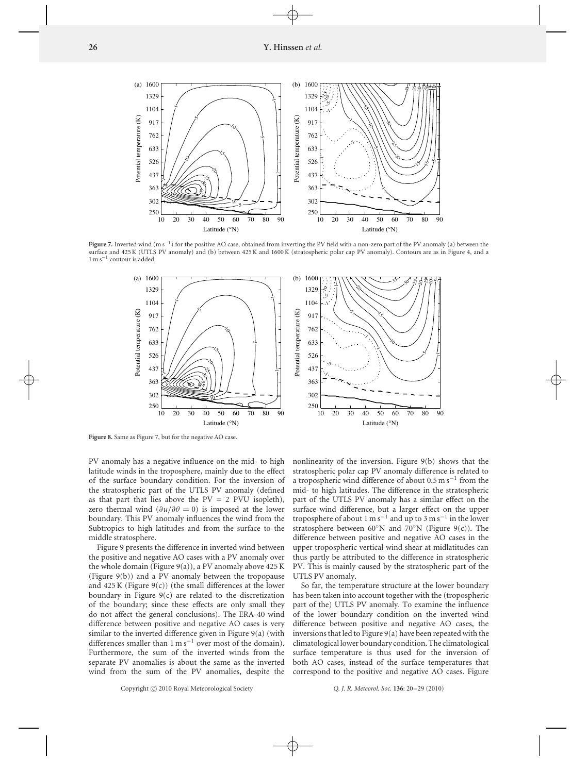

**Figure 7.** Inverted wind (m s−1) for the positive AO case, obtained from inverting the PV field with a non-zero part of the PV anomaly (a) between the surface and 425 K (UTLS PV anomaly) and (b) between 425 K and 1600 K (stratospheric polar cap PV anomaly). Contours are as in Figure 4, and a 1ms−<sup>1</sup> contour is added.



**Figure 8.** Same as Figure 7, but for the negative AO case.

PV anomaly has a negative influence on the mid- to high latitude winds in the troposphere, mainly due to the effect of the surface boundary condition. For the inversion of the stratospheric part of the UTLS PV anomaly (defined as that part that lies above the  $PV = 2$  PVU isopleth), zero thermal wind  $(\partial u/\partial \theta = 0)$  is imposed at the lower boundary. This PV anomaly influences the wind from the Subtropics to high latitudes and from the surface to the middle stratosphere.

Figure 9 presents the difference in inverted wind between the positive and negative AO cases with a PV anomaly over the whole domain (Figure 9(a)), a PV anomaly above 425 K (Figure 9(b)) and a PV anomaly between the tropopause and 425 K (Figure 9(c)) (the small differences at the lower boundary in Figure 9(c) are related to the discretization of the boundary; since these effects are only small they do not affect the general conclusions). The ERA-40 wind difference between positive and negative AO cases is very similar to the inverted difference given in Figure 9(a) (with differences smaller than  $1 \text{ m s}^{-1}$  over most of the domain). Furthermore, the sum of the inverted winds from the separate PV anomalies is about the same as the inverted wind from the sum of the PV anomalies, despite the nonlinearity of the inversion. Figure 9(b) shows that the stratospheric polar cap PV anomaly difference is related to a tropospheric wind difference of about  $0.5 \text{ m s}^{-1}$  from the mid- to high latitudes. The difference in the stratospheric part of the UTLS PV anomaly has a similar effect on the surface wind difference, but a larger effect on the upper troposphere of about  $1 \text{ m s}^{-1}$  and up to  $3 \text{ m s}^{-1}$  in the lower stratosphere between  $60°N$  and  $70°N$  (Figure 9(c)). The difference between positive and negative AO cases in the upper tropospheric vertical wind shear at midlatitudes can thus partly be attributed to the difference in stratospheric PV. This is mainly caused by the stratospheric part of the UTLS PV anomaly.

So far, the temperature structure at the lower boundary has been taken into account together with the (tropospheric part of the) UTLS PV anomaly. To examine the influence of the lower boundary condition on the inverted wind difference between positive and negative AO cases, the inversions that led to Figure 9(a) have been repeated with the climatological lower boundary condition. The climatological surface temperature is thus used for the inversion of both AO cases, instead of the surface temperatures that correspond to the positive and negative AO cases. Figure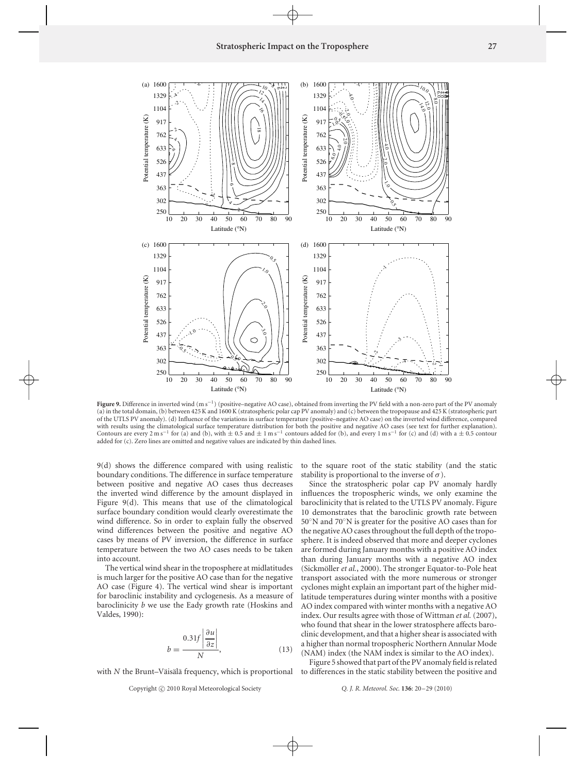

**Figure 9.** Difference in inverted wind (m s−1) (positive–negative AO case), obtained from inverting the PV field with a non-zero part of the PV anomaly (a) in the total domain, (b) between 425 K and 1600 K (stratospheric polar cap PV anomaly) and (c) between the tropopause and 425 K (stratospheric part of the UTLS PV anomaly). (d) Influence of the variations in surface temperature (positive–negative AO case) on the inverted wind difference, compared with results using the climatological surface temperature distribution for both the positive and negative AO cases (see text for further explanation). Contours are every 2 m s<sup>-1</sup> for (a) and (b), with  $\pm$  0.5 and  $\pm$  1 m s<sup>-1</sup> contours added for (b), and every 1 m s<sup>-1</sup> for (c) and (d) with a  $\pm$  0.5 contour added for (c). Zero lines are omitted and negative values are indicated by thin dashed lines.

9(d) shows the difference compared with using realistic boundary conditions. The difference in surface temperature between positive and negative AO cases thus decreases the inverted wind difference by the amount displayed in Figure 9(d). This means that use of the climatological surface boundary condition would clearly overestimate the wind difference. So in order to explain fully the observed wind differences between the positive and negative AO cases by means of PV inversion, the difference in surface temperature between the two AO cases needs to be taken into account.

The vertical wind shear in the troposphere at midlatitudes is much larger for the positive AO case than for the negative AO case (Figure 4). The vertical wind shear is important for baroclinic instability and cyclogenesis. As a measure of baroclinicity *b* we use the Eady growth rate (Hoskins and Valdes, 1990):

$$
b = \frac{0.31f\left|\frac{\partial u}{\partial z}\right|}{N},\tag{13}
$$

with *N* the Brunt–Väisälä frequency, which is proportional

to the square root of the static stability (and the static stability is proportional to the inverse of  $\sigma$ ).

Since the stratospheric polar cap PV anomaly hardly influences the tropospheric winds, we only examine the baroclinicity that is related to the UTLS PV anomaly. Figure 10 demonstrates that the baroclinic growth rate between 50◦N and 70◦N is greater for the positive AO cases than for the negative AO cases throughout the full depth of the troposphere. It is indeed observed that more and deeper cyclones are formed during January months with a positive AO index than during January months with a negative AO index (Sickmöller et al., 2000). The stronger Equator-to-Pole heat transport associated with the more numerous or stronger cyclones might explain an important part of the higher midlatitude temperatures during winter months with a positive AO index compared with winter months with a negative AO index. Our results agree with those of Wittman *et al.* (2007), who found that shear in the lower stratosphere affects baroclinic development, and that a higher shear is associated with a higher than normal tropospheric Northern Annular Mode (NAM) index (the NAM index is similar to the AO index).

Figure 5 showed that part of the PV anomaly field is related to differences in the static stability between the positive and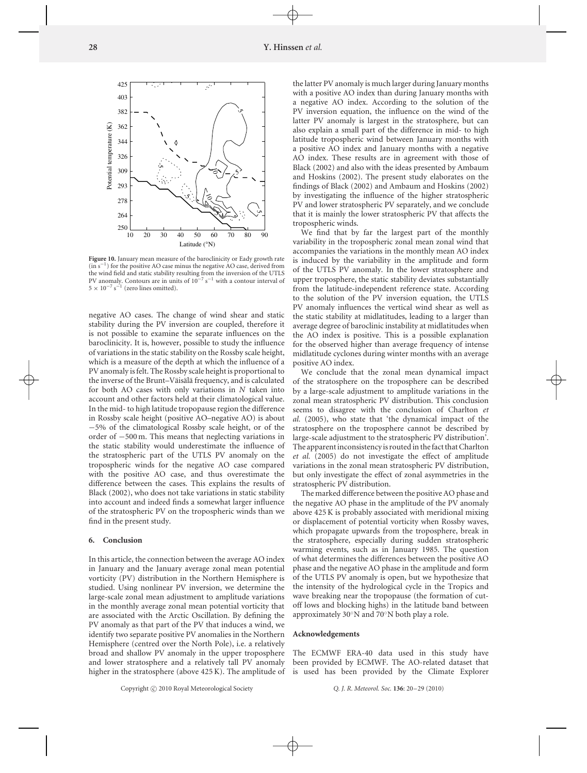**Figure 10.** January mean measure of the baroclinicity or Eady growth rate  $(in s<sup>-1</sup>)$  for the positive AO case minus the negative AO case, derived from the wind field and static stability resulting from the inversion of the UTLS PV anomaly. Contours are in units of  $10^{-7}$  s<sup>-1</sup> with a contour interval of  $5 \times 10^{-7}$  s<sup>-1</sup> (zero lines omitted).

negative AO cases. The change of wind shear and static stability during the PV inversion are coupled, therefore it is not possible to examine the separate influences on the baroclinicity. It is, however, possible to study the influence of variations in the static stability on the Rossby scale height, which is a measure of the depth at which the influence of a PV anomaly is felt. The Rossby scale height is proportional to the inverse of the Brunt–Väisälä frequency, and is calculated for both AO cases with only variations in *N* taken into account and other factors held at their climatological value. In the mid- to high latitude tropopause region the difference in Rossby scale height (positive AO–negative AO) is about −5% of the climatological Rossby scale height, or of the order of −500 m. This means that neglecting variations in the static stability would underestimate the influence of the stratospheric part of the UTLS PV anomaly on the tropospheric winds for the negative AO case compared with the positive AO case, and thus overestimate the difference between the cases. This explains the results of Black (2002), who does not take variations in static stability into account and indeed finds a somewhat larger influence of the stratospheric PV on the tropospheric winds than we find in the present study.

### **6. Conclusion**

In this article, the connection between the average AO index in January and the January average zonal mean potential vorticity (PV) distribution in the Northern Hemisphere is studied. Using nonlinear PV inversion, we determine the large-scale zonal mean adjustment to amplitude variations in the monthly average zonal mean potential vorticity that are associated with the Arctic Oscillation. By defining the PV anomaly as that part of the PV that induces a wind, we identify two separate positive PV anomalies in the Northern Hemisphere (centred over the North Pole), i.e. a relatively broad and shallow PV anomaly in the upper troposphere and lower stratosphere and a relatively tall PV anomaly the latter PV anomaly is much larger during January months with a positive AO index than during January months with a negative AO index. According to the solution of the PV inversion equation, the influence on the wind of the latter PV anomaly is largest in the stratosphere, but can also explain a small part of the difference in mid- to high latitude tropospheric wind between January months with a positive AO index and January months with a negative AO index. These results are in agreement with those of Black (2002) and also with the ideas presented by Ambaum and Hoskins (2002). The present study elaborates on the findings of Black (2002) and Ambaum and Hoskins (2002) by investigating the influence of the higher stratospheric PV and lower stratospheric PV separately, and we conclude that it is mainly the lower stratospheric PV that affects the tropospheric winds.

We find that by far the largest part of the monthly variability in the tropospheric zonal mean zonal wind that accompanies the variations in the monthly mean AO index is induced by the variability in the amplitude and form of the UTLS PV anomaly. In the lower stratosphere and upper troposphere, the static stability deviates substantially from the latitude-independent reference state. According to the solution of the PV inversion equation, the UTLS PV anomaly influences the vertical wind shear as well as the static stability at midlatitudes, leading to a larger than average degree of baroclinic instability at midlatitudes when the AO index is positive. This is a possible explanation for the observed higher than average frequency of intense midlatitude cyclones during winter months with an average positive AO index.

We conclude that the zonal mean dynamical impact of the stratosphere on the troposphere can be described by a large-scale adjustment to amplitude variations in the zonal mean stratospheric PV distribution. This conclusion seems to disagree with the conclusion of Charlton *et al.* (2005), who state that 'the dynamical impact of the stratosphere on the troposphere cannot be described by large-scale adjustment to the stratospheric PV distribution'. The apparent inconsistency is routed in the fact that Charlton *et al.* (2005) do not investigate the effect of amplitude variations in the zonal mean stratospheric PV distribution, but only investigate the effect of zonal asymmetries in the stratospheric PV distribution.

The marked difference between the positive AO phase and the negative AO phase in the amplitude of the PV anomaly above 425 K is probably associated with meridional mixing or displacement of potential vorticity when Rossby waves, which propagate upwards from the troposphere, break in the stratosphere, especially during sudden stratospheric warming events, such as in January 1985. The question of what determines the differences between the positive AO phase and the negative AO phase in the amplitude and form of the UTLS PV anomaly is open, but we hypothesize that the intensity of the hydrological cycle in the Tropics and wave breaking near the tropopause (the formation of cutoff lows and blocking highs) in the latitude band between approximately 30◦N and 70◦N both play a role.

# **Acknowledgements**

higher in the stratosphere (above 425 K). The amplitude of is used has been provided by the Climate Explorer The ECMWF ERA-40 data used in this study have been provided by ECMWF. The AO-related dataset that